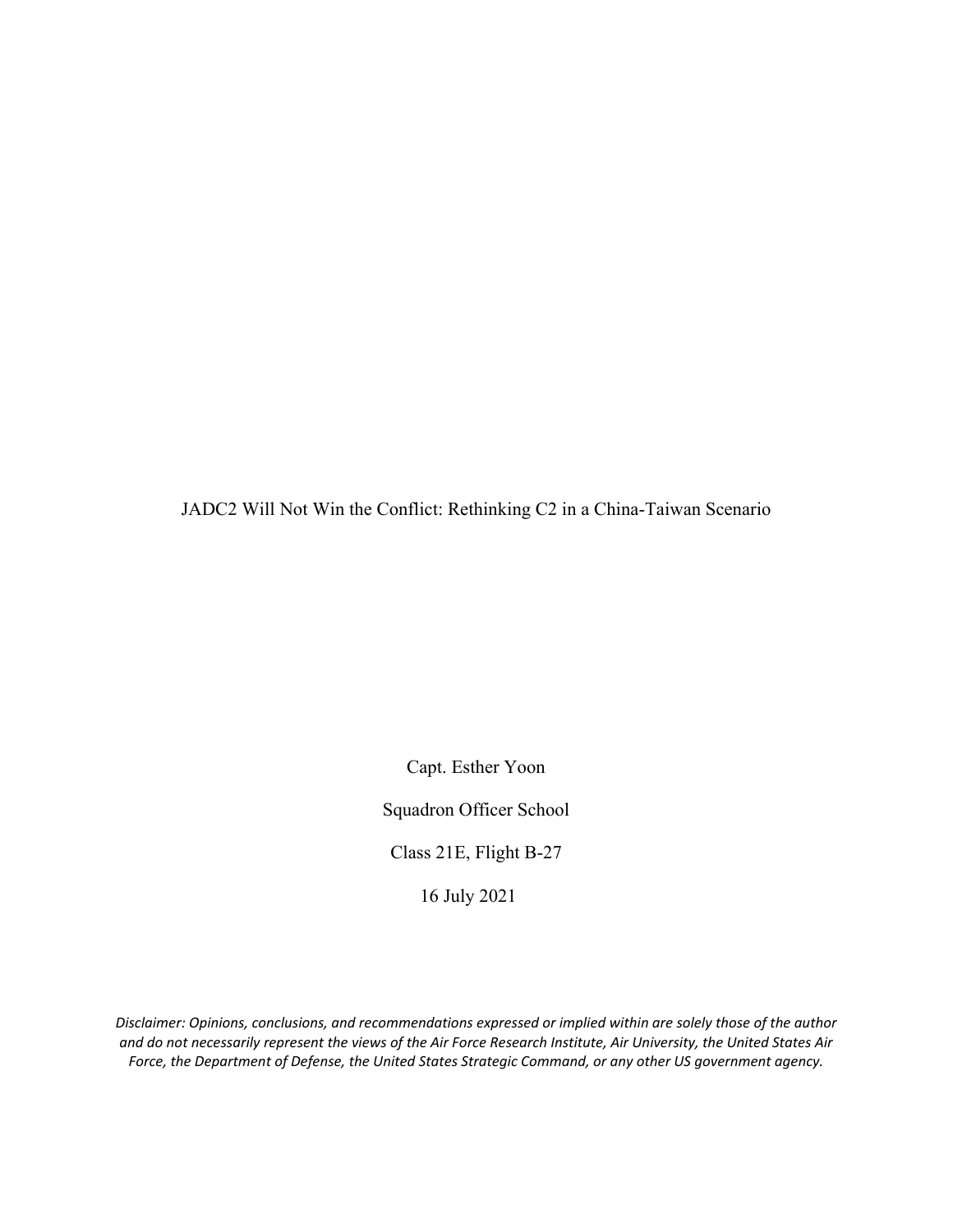JADC2 Will Not Win the Conflict: Rethinking C2 in a China-Taiwan Scenario

Capt. Esther Yoon

Squadron Officer School

Class 21E, Flight B-27

16 July 2021

*Disclaimer: Opinions, conclusions, and recommendations expressed or implied within are solely those of the author and do not necessarily represent the views of the Air Force Research Institute, Air University, the United States Air Force, the Department of Defense, the United States Strategic Command, or any other US government agency.*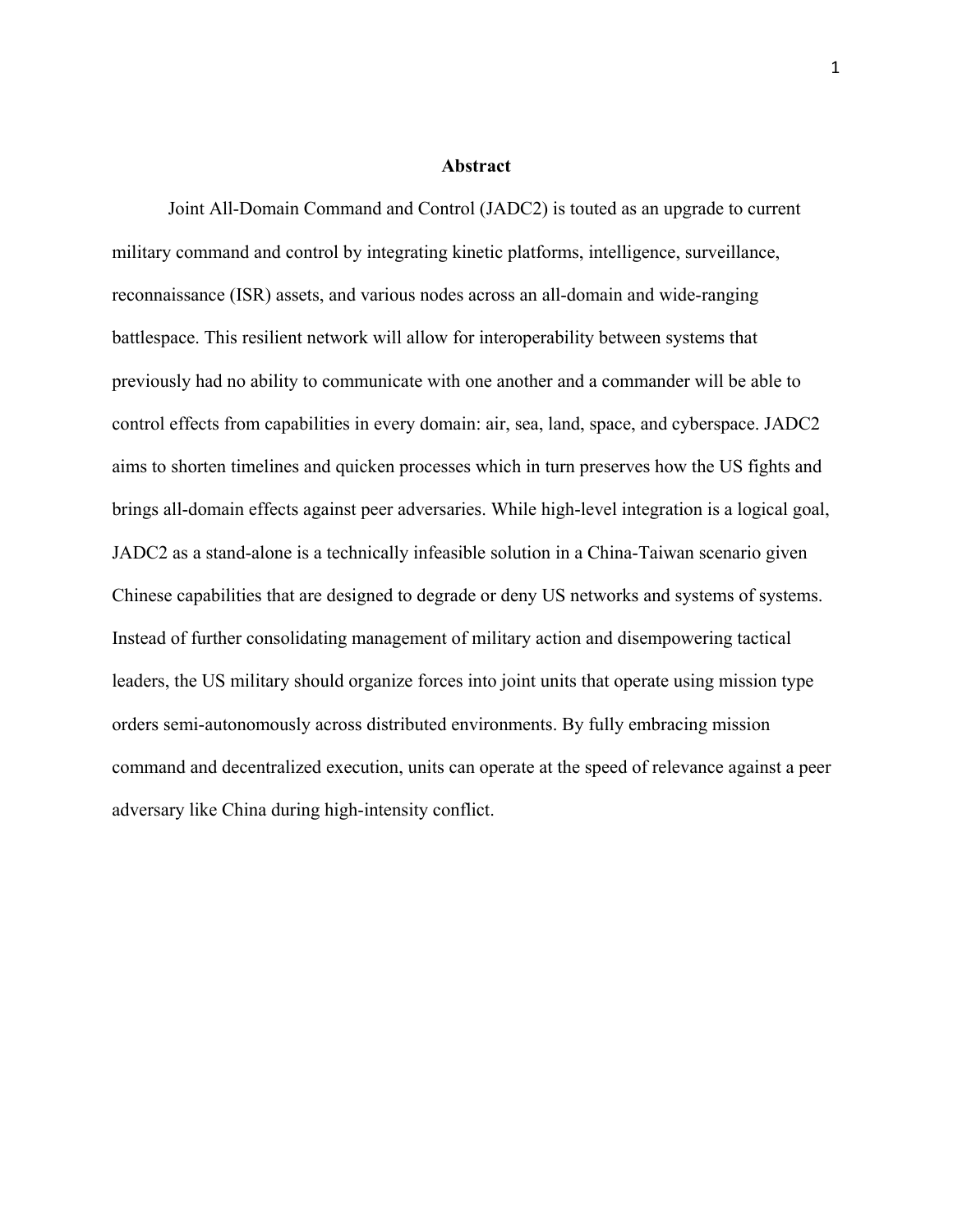## **Abstract**

Joint All-Domain Command and Control (JADC2) is touted as an upgrade to current military command and control by integrating kinetic platforms, intelligence, surveillance, reconnaissance (ISR) assets, and various nodes across an all-domain and wide-ranging battlespace. This resilient network will allow for interoperability between systems that previously had no ability to communicate with one another and a commander will be able to control effects from capabilities in every domain: air, sea, land, space, and cyberspace. JADC2 aims to shorten timelines and quicken processes which in turn preserves how the US fights and brings all-domain effects against peer adversaries. While high-level integration is a logical goal, JADC2 as a stand-alone is a technically infeasible solution in a China-Taiwan scenario given Chinese capabilities that are designed to degrade or deny US networks and systems of systems. Instead of further consolidating management of military action and disempowering tactical leaders, the US military should organize forces into joint units that operate using mission type orders semi-autonomously across distributed environments. By fully embracing mission command and decentralized execution, units can operate at the speed of relevance against a peer adversary like China during high-intensity conflict.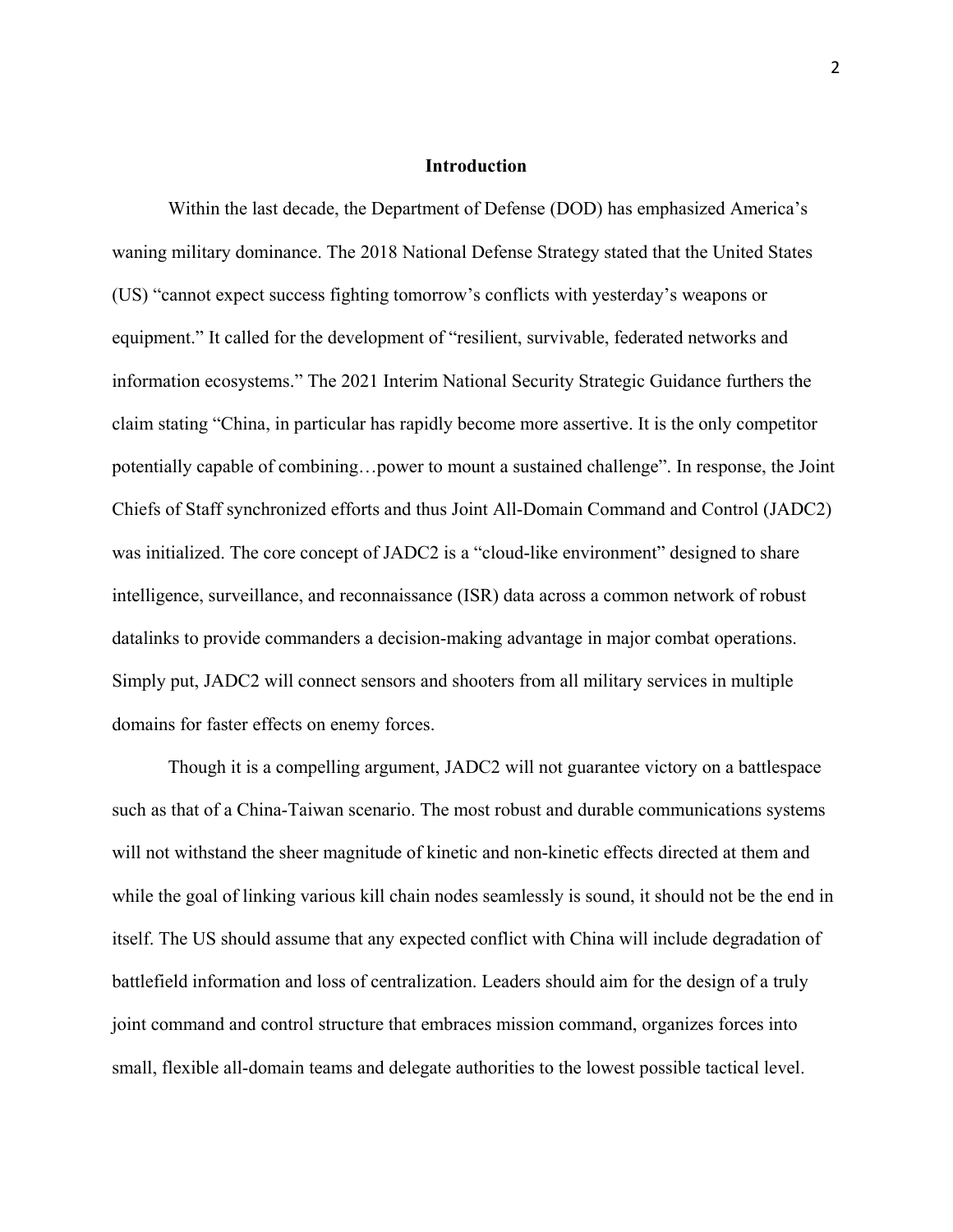# **Introduction**

Within the last decade, the Department of Defense (DOD) has emphasized America's waning military dominance. The 2018 National Defense Strategy stated that the United States (US) "cannot expect success fighting tomorrow's conflicts with yesterday's weapons or equipment." It called for the development of "resilient, survivable, federated networks and information ecosystems." The 2021 Interim National Security Strategic Guidance furthers the claim stating "China, in particular has rapidly become more assertive. It is the only competitor potentially capable of combining…power to mount a sustained challenge". In response, the Joint Chiefs of Staff synchronized efforts and thus Joint All-Domain Command and Control (JADC2) was initialized. The core concept of JADC2 is a "cloud-like environment" designed to share intelligence, surveillance, and reconnaissance (ISR) data across a common network of robust datalinks to provide commanders a decision-making advantage in major combat operations. Simply put, JADC2 will connect sensors and shooters from all military services in multiple domains for faster effects on enemy forces.

Though it is a compelling argument, JADC2 will not guarantee victory on a battlespace such as that of a China-Taiwan scenario. The most robust and durable communications systems will not withstand the sheer magnitude of kinetic and non-kinetic effects directed at them and while the goal of linking various kill chain nodes seamlessly is sound, it should not be the end in itself. The US should assume that any expected conflict with China will include degradation of battlefield information and loss of centralization. Leaders should aim for the design of a truly joint command and control structure that embraces mission command, organizes forces into small, flexible all-domain teams and delegate authorities to the lowest possible tactical level.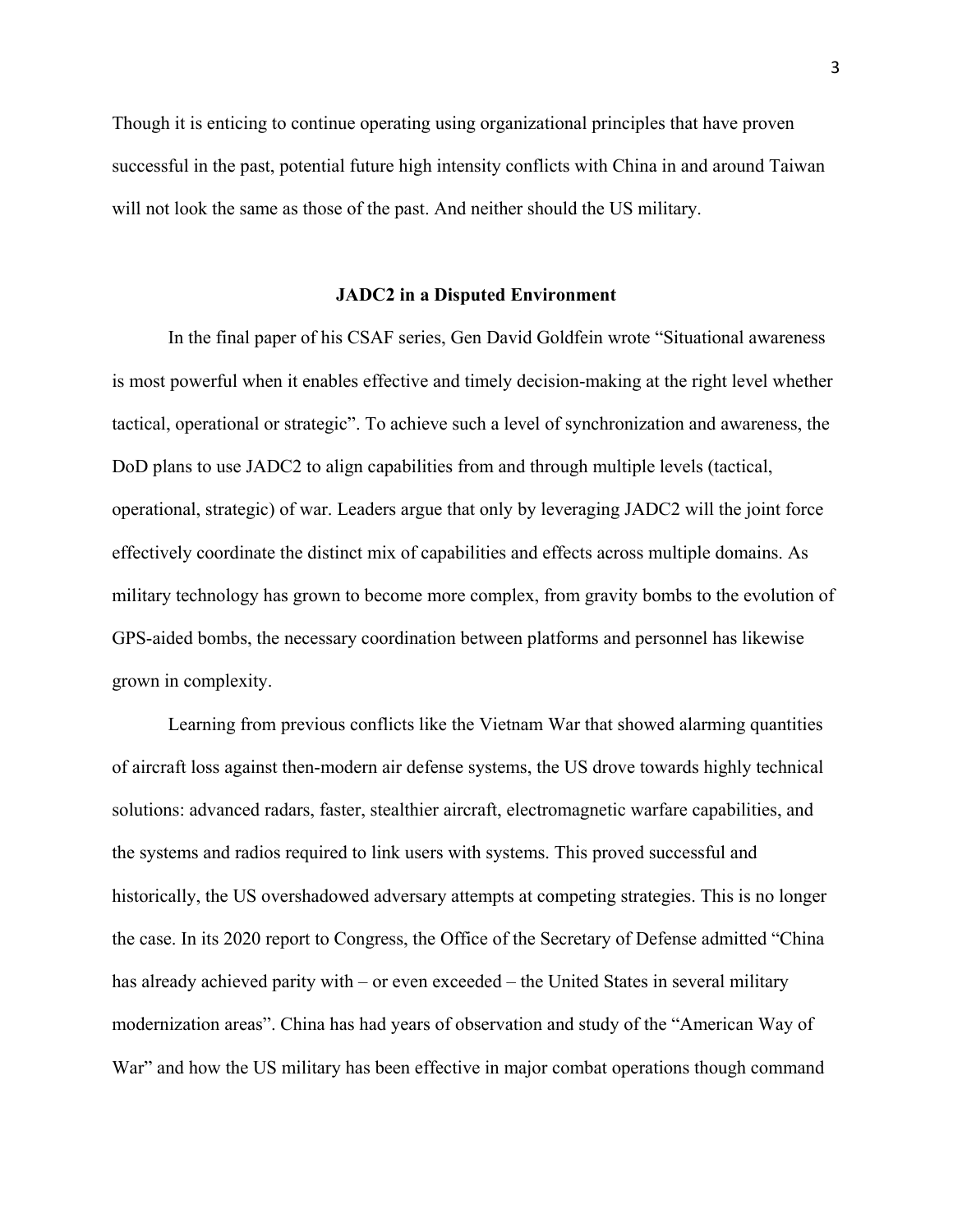Though it is enticing to continue operating using organizational principles that have proven successful in the past, potential future high intensity conflicts with China in and around Taiwan will not look the same as those of the past. And neither should the US military.

#### **JADC2 in a Disputed Environment**

In the final paper of his CSAF series, Gen David Goldfein wrote "Situational awareness is most powerful when it enables effective and timely decision-making at the right level whether tactical, operational or strategic". To achieve such a level of synchronization and awareness, the DoD plans to use JADC2 to align capabilities from and through multiple levels (tactical, operational, strategic) of war. Leaders argue that only by leveraging JADC2 will the joint force effectively coordinate the distinct mix of capabilities and effects across multiple domains. As military technology has grown to become more complex, from gravity bombs to the evolution of GPS-aided bombs, the necessary coordination between platforms and personnel has likewise grown in complexity.

Learning from previous conflicts like the Vietnam War that showed alarming quantities of aircraft loss against then-modern air defense systems, the US drove towards highly technical solutions: advanced radars, faster, stealthier aircraft, electromagnetic warfare capabilities, and the systems and radios required to link users with systems. This proved successful and historically, the US overshadowed adversary attempts at competing strategies. This is no longer the case. In its 2020 report to Congress, the Office of the Secretary of Defense admitted "China has already achieved parity with – or even exceeded – the United States in several military modernization areas". China has had years of observation and study of the "American Way of War" and how the US military has been effective in major combat operations though command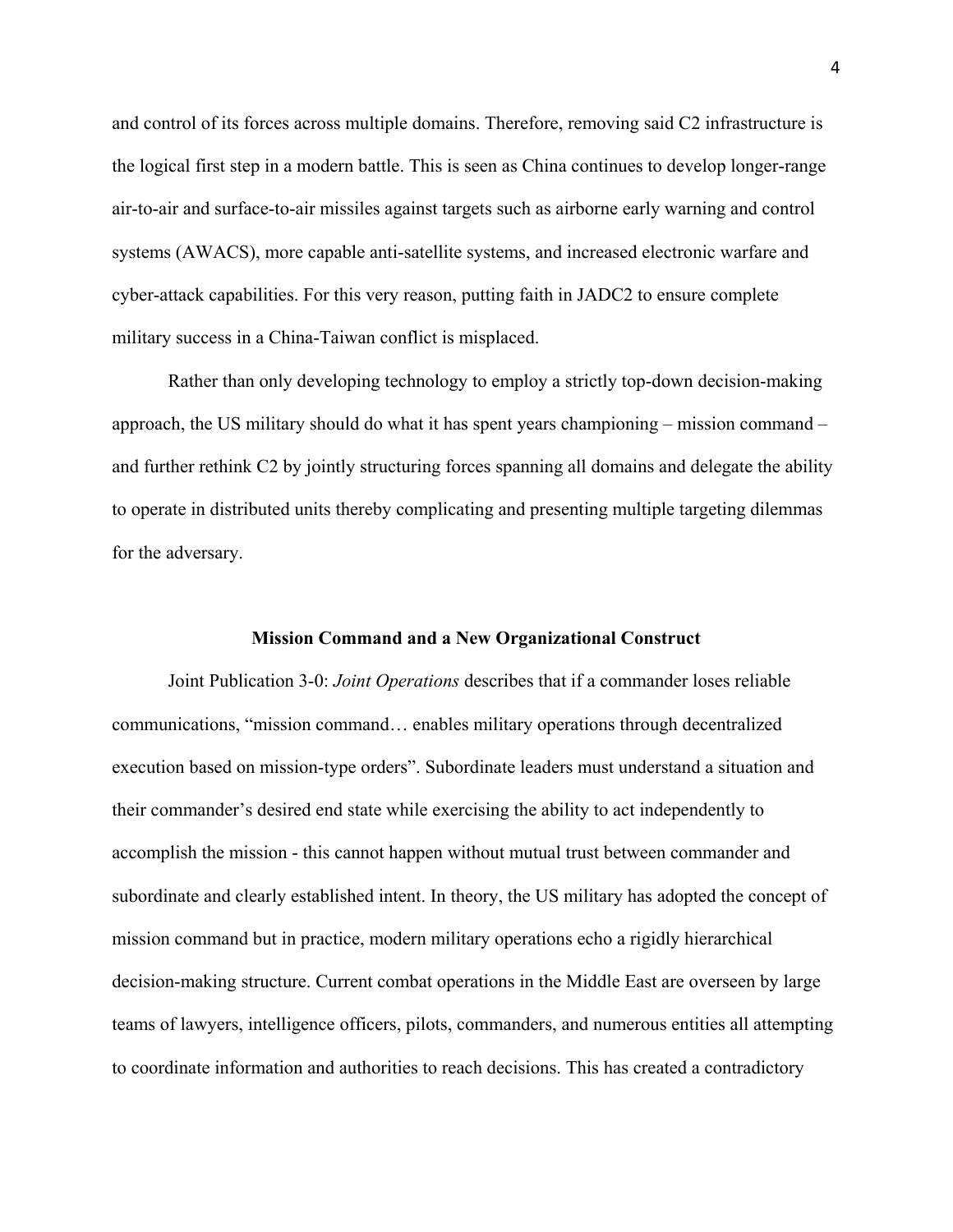and control of its forces across multiple domains. Therefore, removing said C2 infrastructure is the logical first step in a modern battle. This is seen as China continues to develop longer-range air-to-air and surface-to-air missiles against targets such as airborne early warning and control systems (AWACS), more capable anti-satellite systems, and increased electronic warfare and cyber-attack capabilities. For this very reason, putting faith in JADC2 to ensure complete military success in a China-Taiwan conflict is misplaced.

Rather than only developing technology to employ a strictly top-down decision-making approach, the US military should do what it has spent years championing – mission command – and further rethink C2 by jointly structuring forces spanning all domains and delegate the ability to operate in distributed units thereby complicating and presenting multiple targeting dilemmas for the adversary.

### **Mission Command and a New Organizational Construct**

Joint Publication 3-0: *Joint Operations* describes that if a commander loses reliable communications, "mission command… enables military operations through decentralized execution based on mission-type orders". Subordinate leaders must understand a situation and their commander's desired end state while exercising the ability to act independently to accomplish the mission - this cannot happen without mutual trust between commander and subordinate and clearly established intent. In theory, the US military has adopted the concept of mission command but in practice, modern military operations echo a rigidly hierarchical decision-making structure. Current combat operations in the Middle East are overseen by large teams of lawyers, intelligence officers, pilots, commanders, and numerous entities all attempting to coordinate information and authorities to reach decisions. This has created a contradictory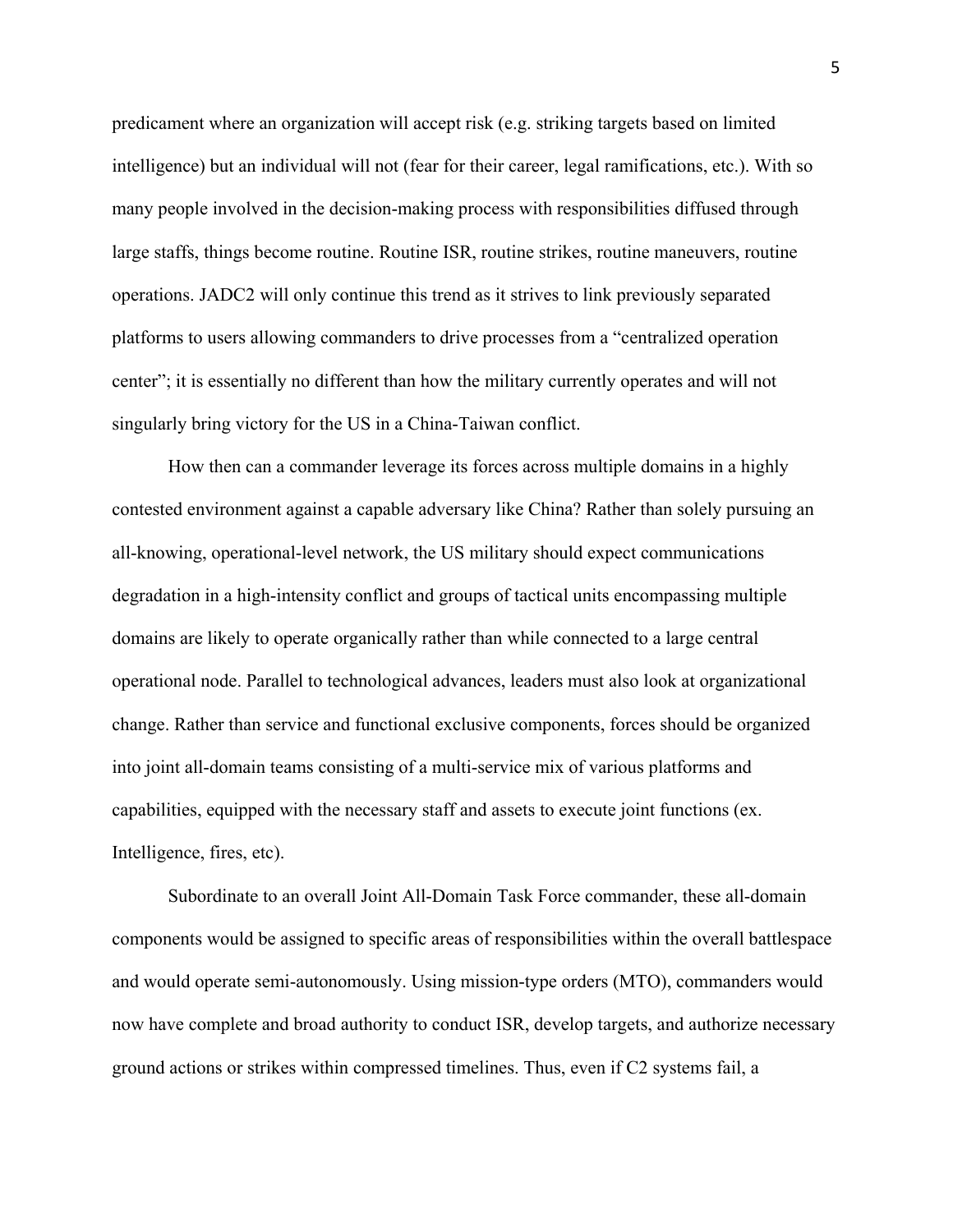predicament where an organization will accept risk (e.g. striking targets based on limited intelligence) but an individual will not (fear for their career, legal ramifications, etc.). With so many people involved in the decision-making process with responsibilities diffused through large staffs, things become routine. Routine ISR, routine strikes, routine maneuvers, routine operations. JADC2 will only continue this trend as it strives to link previously separated platforms to users allowing commanders to drive processes from a "centralized operation center"; it is essentially no different than how the military currently operates and will not singularly bring victory for the US in a China-Taiwan conflict.

How then can a commander leverage its forces across multiple domains in a highly contested environment against a capable adversary like China? Rather than solely pursuing an all-knowing, operational-level network, the US military should expect communications degradation in a high-intensity conflict and groups of tactical units encompassing multiple domains are likely to operate organically rather than while connected to a large central operational node. Parallel to technological advances, leaders must also look at organizational change. Rather than service and functional exclusive components, forces should be organized into joint all-domain teams consisting of a multi-service mix of various platforms and capabilities, equipped with the necessary staff and assets to execute joint functions (ex. Intelligence, fires, etc).

Subordinate to an overall Joint All-Domain Task Force commander, these all-domain components would be assigned to specific areas of responsibilities within the overall battlespace and would operate semi-autonomously. Using mission-type orders (MTO), commanders would now have complete and broad authority to conduct ISR, develop targets, and authorize necessary ground actions or strikes within compressed timelines. Thus, even if C2 systems fail, a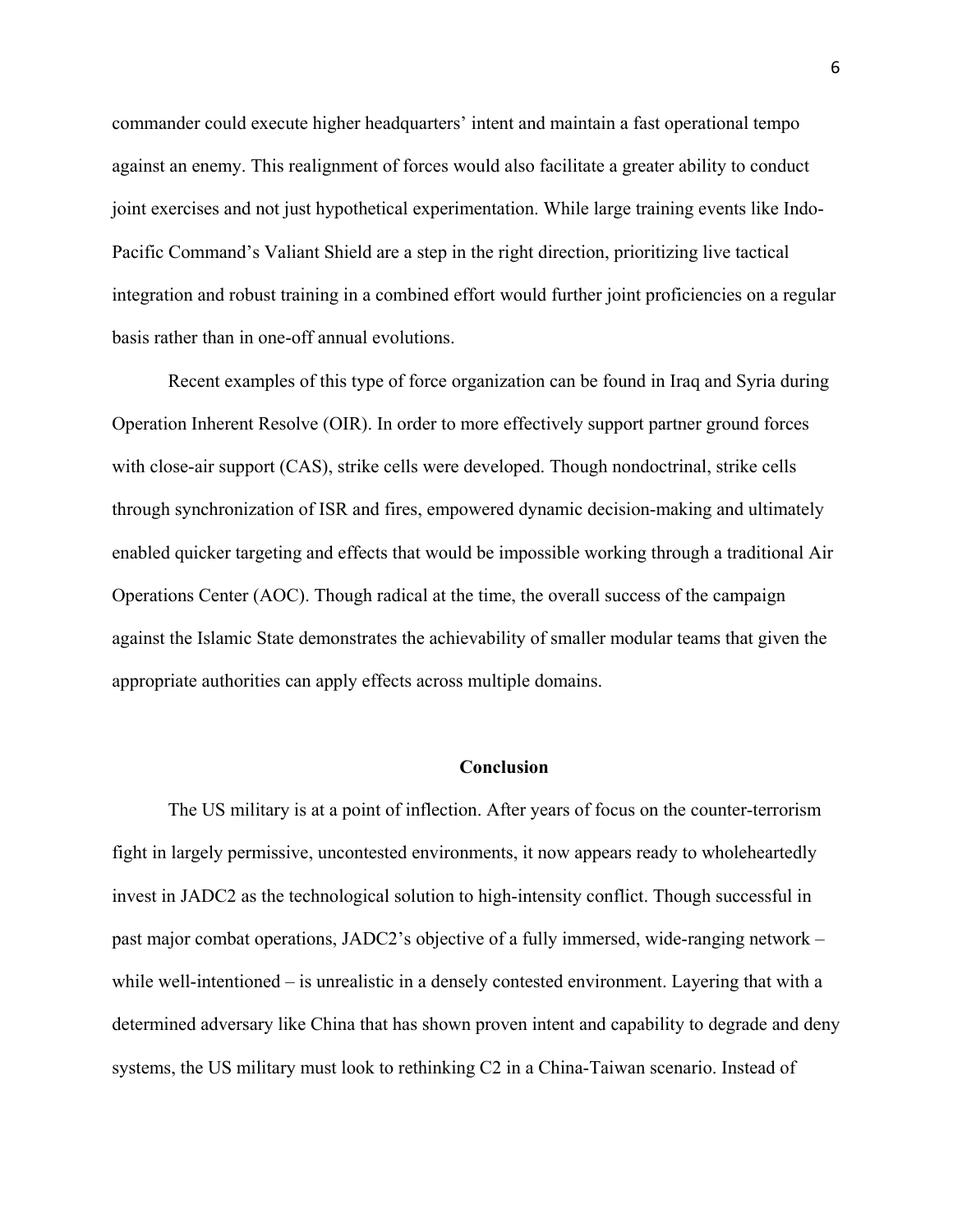commander could execute higher headquarters' intent and maintain a fast operational tempo against an enemy. This realignment of forces would also facilitate a greater ability to conduct joint exercises and not just hypothetical experimentation. While large training events like Indo-Pacific Command's Valiant Shield are a step in the right direction, prioritizing live tactical integration and robust training in a combined effort would further joint proficiencies on a regular basis rather than in one-off annual evolutions.

Recent examples of this type of force organization can be found in Iraq and Syria during Operation Inherent Resolve (OIR). In order to more effectively support partner ground forces with close-air support (CAS), strike cells were developed. Though nondoctrinal, strike cells through synchronization of ISR and fires, empowered dynamic decision-making and ultimately enabled quicker targeting and effects that would be impossible working through a traditional Air Operations Center (AOC). Though radical at the time, the overall success of the campaign against the Islamic State demonstrates the achievability of smaller modular teams that given the appropriate authorities can apply effects across multiple domains.

# **Conclusion**

The US military is at a point of inflection. After years of focus on the counter-terrorism fight in largely permissive, uncontested environments, it now appears ready to wholeheartedly invest in JADC2 as the technological solution to high-intensity conflict. Though successful in past major combat operations, JADC2's objective of a fully immersed, wide-ranging network – while well-intentioned – is unrealistic in a densely contested environment. Layering that with a determined adversary like China that has shown proven intent and capability to degrade and deny systems, the US military must look to rethinking C2 in a China-Taiwan scenario. Instead of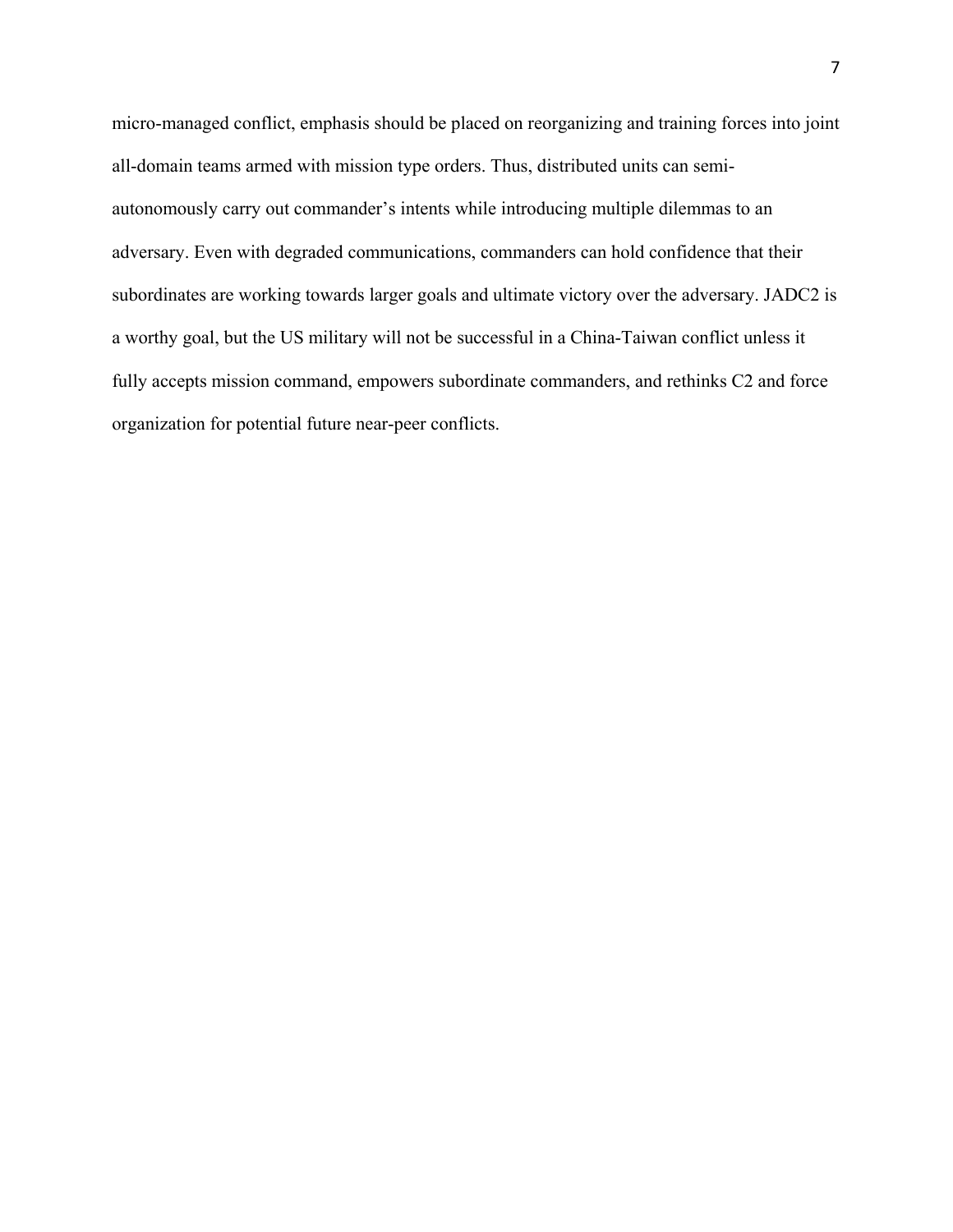micro-managed conflict, emphasis should be placed on reorganizing and training forces into joint all-domain teams armed with mission type orders. Thus, distributed units can semiautonomously carry out commander's intents while introducing multiple dilemmas to an adversary. Even with degraded communications, commanders can hold confidence that their subordinates are working towards larger goals and ultimate victory over the adversary. JADC2 is a worthy goal, but the US military will not be successful in a China-Taiwan conflict unless it fully accepts mission command, empowers subordinate commanders, and rethinks C2 and force organization for potential future near-peer conflicts.